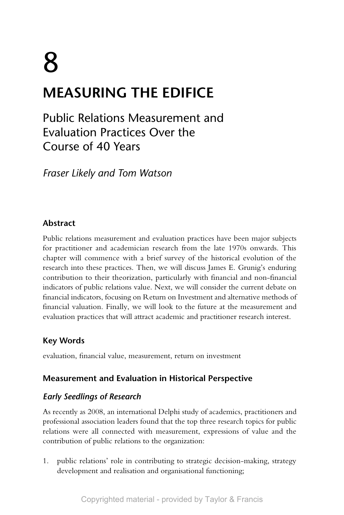# 8 **MEASURING THE EDIFICE**

Public Relations Measurement and Evaluation Practices Over the Course of 40 Years

*Fraser Likely and Tom Watson*

# **Abstract**

Public relations measurement and evaluation practices have been major subjects for practitioner and academician research from the late 1970s onwards. This chapter will commence with a brief survey of the historical evolution of the research into these practices. Then, we will discuss James E. Grunig's enduring contribution to their theorization, particularly with financial and non-financial indicators of public relations value. Next, we will consider the current debate on financial indicators, focusing on Return on Investment and alternative methods of financial valuation. Finally, we will look to the future at the measurement and evaluation practices that will attract academic and practitioner research interest.

# **Key Words**

evaluation, financial value, measurement, return on investment

# **Measurement and Evaluation in Historical Perspective**

# *Early Seedlings of Research*

As recently as 2008, an international Delphi study of academics, practitioners and professional association leaders found that the top three research topics for public relations were all connected with measurement, expressions of value and the contribution of public relations to the organization:

1. public relations' role in contributing to strategic decision-making, strategy development and realisation and organisational functioning;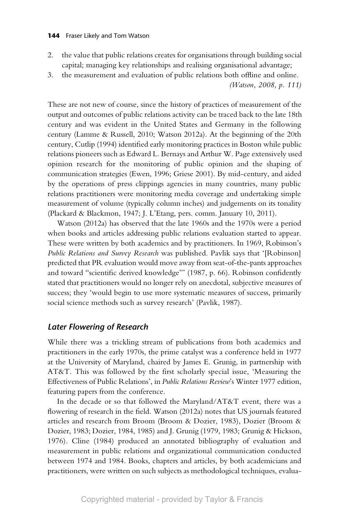#### **144** Fraser Likely and Tom Watson

- 2. the value that public relations creates for organisations through building social capital; managing key relationships and realising organisational advantage;
- 3. the measurement and evaluation of public relations both offline and online.

These are not new of course, since the history of practices of measurement of the output and outcomes of public relations activity can be traced back to the late 18th century and was evident in the United States and Germany in the following century (Lamme & Russell, 2010; Watson 2012a). At the beginning of the 20th century, Cutlip (1994) identified early monitoring practices in Boston while public relations pioneers such as Edward L. Bernays and Arthur W. Page extensively used opinion research for the monitoring of public opinion and the shaping of communication strategies (Ewen, 1996; Griese 2001). By mid-century, and aided by the operations of press clippings agencies in many countries, many public relations practitioners were monitoring media coverage and undertaking simple measurement of volume (typically column inches) and judgements on its tonality (Plackard & Blackmon, 1947; J. L'Etang, pers. comm. January 10, 2011).

Watson (2012a) has observed that the late 1960s and the 1970s were a period when books and articles addressing public relations evaluation started to appear. These were written by both academics and by practitioners. In 1969, Robinson's *Public Relations and Survey Research* was published. Pavlik says that '[Robinson] predicted that PR evaluation would move away from seat-of-the-pants approaches and toward "scientific derived knowledge"' (1987, p. 66). Robinson confidently stated that practitioners would no longer rely on anecdotal, subjective measures of success; they 'would begin to use more systematic measures of success, primarily social science methods such as survey research' (Pavlik, 1987).

## *Later Flowering of Research*

While there was a trickling stream of publications from both academics and practitioners in the early 1970s, the prime catalyst was a conference held in 1977 at the University of Maryland, chaired by James E. Grunig, in partnership with AT&T. This was followed by the first scholarly special issue, 'Measuring the Effectiveness of Public Relations', in *Public Relations Review*'s Winter 1977 edition, featuring papers from the conference.

In the decade or so that followed the Maryland/AT&T event, there was a flowering of research in the field. Watson (2012a) notes that US journals featured articles and research from Broom (Broom & Dozier, 1983), Dozier (Broom & Dozier, 1983; Dozier, 1984, 1985) and J. Grunig (1979, 1983; Grunig & Hickson, 1976). Cline (1984) produced an annotated bibliography of evaluation and measurement in public relations and organizational communication conducted between 1974 and 1984. Books, chapters and articles, by both academicians and practitioners, were written on such subjects as methodological techniques, evalua-

*<sup>(</sup>Watson, 2008, p. 111)*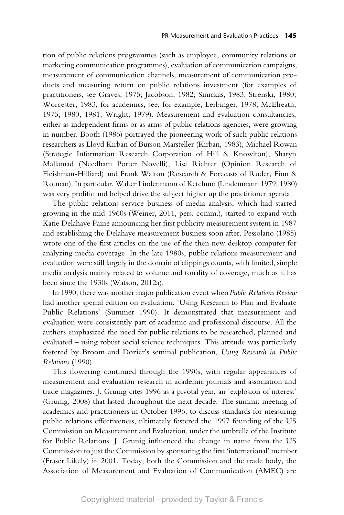tion of public relations programmes (such as employee, community relations or marketing communication programmes), evaluation of communication campaigns, measurement of communication channels, measurement of communication products and measuring return on public relations investment (for examples of practitioners, see Graves, 1975; Jacobson, 1982; Sinickas, 1983; Strenski, 1980; Worcester, 1983; for academics, see, for example, Lerbinger, 1978; McElreath, 1975, 1980, 1981; Wright, 1979). Measurement and evaluation consultancies, either as independent firms or as arms of public relations agencies, were growing in number. Booth (1986) portrayed the pioneering work of such public relations researchers as Lloyd Kirban of Burson Marsteller (Kirban, 1983), Michael Rowan (Strategic Information Research Corporation of Hill & Knowlton), Sharyn Mallamad (Needham Porter Novelli), Lisa Richter (Opinion Research of Fleishman-Hilliard) and Frank Walton (Research & Forecasts of Ruder, Finn & Rotman). In particular, Walter Lindenmann of Ketchum (Lindenmann 1979, 1980) was very prolific and helped drive the subject higher up the practitioner agenda.

The public relations service business of media analysis, which had started growing in the mid-1960s (Weiner, 2011, pers. comm.), started to expand with Katie Delahaye Paine announcing her first publicity measurement system in 1987 and establishing the Delahaye measurement business soon after. Pessolano (1985) wrote one of the first articles on the use of the then new desktop computer for analyzing media coverage. In the late 1980s, public relations measurement and evaluation were still largely in the domain of clippings counts, with limited, simple media analysis mainly related to volume and tonality of coverage, much as it has been since the 1930s (Watson, 2012a).

In 1990, there was another major publication event when *Public Relations Review* had another special edition on evaluation, 'Using Research to Plan and Evaluate Public Relations' (Summer 1990). It demonstrated that measurement and evaluation were consistently part of academic and professional discourse. All the authors emphasized the need for public relations to be researched, planned and evaluated – using robust social science techniques. This attitude was particularly fostered by Broom and Dozier's seminal publication, *Using Research in Public Relations* (1990).

This flowering continued through the 1990s, with regular appearances of measurement and evaluation research in academic journals and association and trade magazines. J. Grunig cites 1996 as a pivotal year, an 'explosion of interest' (Grunig, 2008) that lasted throughout the next decade. The summit meeting of academics and practitioners in October 1996, to discuss standards for measuring public relations effectiveness, ultimately fostered the 1997 founding of the US Commission on Measurement and Evaluation, under the umbrella of the Institute for Public Relations. J. Grunig influenced the change in name from the US Commission to just the Commission by sponsoring the first 'international' member (Fraser Likely) in 2001. Today, both the Commission and the trade body, the Association of Measurement and Evaluation of Communication (AMEC) are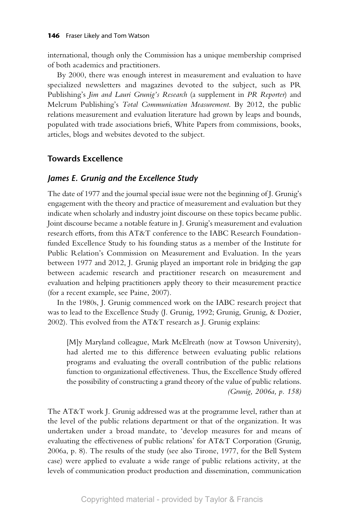international, though only the Commission has a unique membership comprised of both academics and practitioners.

By 2000, there was enough interest in measurement and evaluation to have specialized newsletters and magazines devoted to the subject, such as PR Publishing's *Jim and Lauri Grunig's Research* (a supplement in *PR Reporter*) and Melcrum Publishing's *Total Communication Measurement*. By 2012, the public relations measurement and evaluation literature had grown by leaps and bounds, populated with trade associations briefs, White Papers from commissions, books, articles, blogs and websites devoted to the subject.

# **Towards Excellence**

## *James E. Grunig and the Excellence Study*

The date of 1977 and the journal special issue were not the beginning of J. Grunig's engagement with the theory and practice of measurement and evaluation but they indicate when scholarly and industry joint discourse on these topics became public. Joint discourse became a notable feature in J. Grunig's measurement and evaluation research efforts, from this AT&T conference to the IABC Research Foundationfunded Excellence Study to his founding status as a member of the Institute for Public Relation's Commission on Measurement and Evaluation. In the years between 1977 and 2012, J. Grunig played an important role in bridging the gap between academic research and practitioner research on measurement and evaluation and helping practitioners apply theory to their measurement practice (for a recent example, see Paine, 2007).

In the 1980s, J. Grunig commenced work on the IABC research project that was to lead to the Excellence Study (J. Grunig, 1992; Grunig, Grunig, & Dozier, 2002). This evolved from the AT&T research as J. Grunig explains:

[M]y Maryland colleague, Mark McElreath (now at Towson University), had alerted me to this difference between evaluating public relations programs and evaluating the overall contribution of the public relations function to organizational effectiveness. Thus, the Excellence Study offered the possibility of constructing a grand theory of the value of public relations. *(Grunig, 2006a, p. 158)*

The AT&T work J. Grunig addressed was at the programme level, rather than at the level of the public relations department or that of the organization. It was undertaken under a broad mandate, to 'develop measures for and means of evaluating the effectiveness of public relations' for AT&T Corporation (Grunig, 2006a, p. 8). The results of the study (see also Tirone, 1977, for the Bell System case) were applied to evaluate a wide range of public relations activity, at the levels of communication product production and dissemination, communication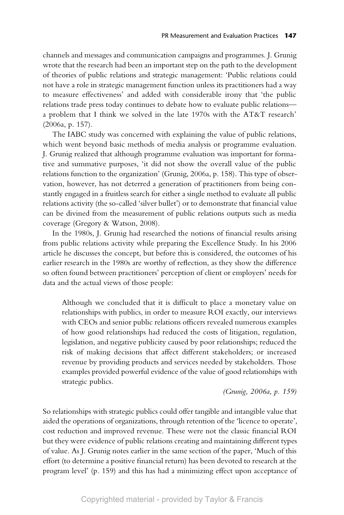channels and messages and communication campaigns and programmes. J. Grunig wrote that the research had been an important step on the path to the development of theories of public relations and strategic management: 'Public relations could not have a role in strategic management function unless its practitioners had a way to measure effectiveness' and added with considerable irony that 'the public relations trade press today continues to debate how to evaluate public relations a problem that I think we solved in the late 1970s with the AT&T research' (2006a, p. 157).

The IABC study was concerned with explaining the value of public relations, which went beyond basic methods of media analysis or programme evaluation. J. Grunig realized that although programme evaluation was important for formative and summative purposes, 'it did not show the overall value of the public relations function to the organization' (Grunig, 2006a, p. 158). This type of observation, however, has not deterred a generation of practitioners from being constantly engaged in a fruitless search for either a single method to evaluate all public relations activity (the so-called 'silver bullet') or to demonstrate that financial value can be divined from the measurement of public relations outputs such as media coverage (Gregory & Watson, 2008).

In the 1980s, J. Grunig had researched the notions of financial results arising from public relations activity while preparing the Excellence Study. In his 2006 article he discusses the concept, but before this is considered, the outcomes of his earlier research in the 1980s are worthy of reflection, as they show the difference so often found between practitioners' perception of client or employers' needs for data and the actual views of those people:

Although we concluded that it is difficult to place a monetary value on relationships with publics, in order to measure ROI exactly, our interviews with CEOs and senior public relations officers revealed numerous examples of how good relationships had reduced the costs of litigation, regulation, legislation, and negative publicity caused by poor relationships; reduced the risk of making decisions that affect different stakeholders; or increased revenue by providing products and services needed by stakeholders. Those examples provided powerful evidence of the value of good relationships with strategic publics.

*(Grunig, 2006a, p. 159)*

So relationships with strategic publics could offer tangible and intangible value that aided the operations of organizations, through retention of the 'licence to operate', cost reduction and improved revenue. These were not the classic financial ROI but they were evidence of public relations creating and maintaining different types of value. As J. Grunig notes earlier in the same section of the paper, 'Much of this effort (to determine a positive financial return) has been devoted to research at the program level' (p. 159) and this has had a minimizing effect upon acceptance of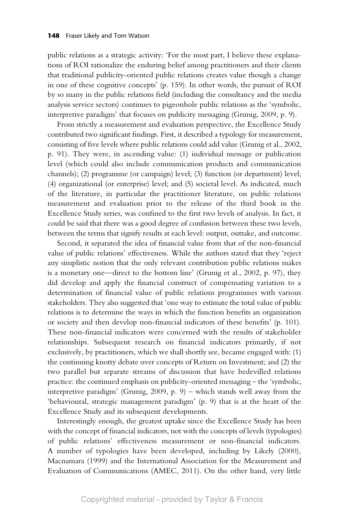public relations as a strategic activity: 'For the most part, I believe these explanations of ROI rationalize the enduring belief among practitioners and their clients that traditional publicity-oriented public relations creates value though a change in one of these cognitive concepts' (p. 159). In other words, the pursuit of ROI by so many in the public relations field (including the consultancy and the media analysis service sectors) continues to pigeonhole public relations as the 'symbolic, interpretive paradigm' that focuses on publicity messaging (Grunig, 2009, p. 9).

From strictly a measurement and evaluation perspective, the Excellence Study contributed two significant findings. First, it described a typology for measurement, consisting of five levels where public relations could add value (Grunig et al., 2002, p. 91). They were, in ascending value: (1) individual message or publication level (which could also include communication products and communication channels); (2) programme (or campaign) level; (3) function (or department) level; (4) organizational (or enterprise) level; and (5) societal level. As indicated, much of the literature, in particular the practitioner literature, on public relations measurement and evaluation prior to the release of the third book in the Excellence Study series, was confined to the first two levels of analysis. In fact, it could be said that there was a good degree of confusion between these two levels, between the terms that signify results at each level: output, outtake, and outcome.

Second, it separated the idea of financial value from that of the non-financial value of public relations' effectiveness. While the authors stated that they 'reject any simplistic notion that the only relevant contribution public relations makes is a monetary one—direct to the bottom line' (Grunig et al., 2002, p. 97), they did develop and apply the financial construct of compensating variation to a determination of financial value of public relations programmes with various stakeholders. They also suggested that 'one way to estimate the total value of public relations is to determine the ways in which the function benefits an organization or society and then develop non-financial indicators of these benefits' (p. 101). These non-financial indicators were concerned with the results of stakeholder relationships. Subsequent research on financial indicators primarily, if not exclusively, by practitioners, which we shall shortly see, became engaged with: (1) the continuing knotty debate over concepts of Return on Investment; and (2) the two parallel but separate streams of discussion that have bedevilled relations practice: the continued emphasis on publicity-oriented messaging – the 'symbolic, interpretive paradigm' (Grunig, 2009, p. 9) – which stands well away from the 'behavioural, strategic management paradigm' (p. 9) that is at the heart of the Excellence Study and its subsequent developments.

Interestingly enough, the greatest uptake since the Excellence Study has been with the concept of financial indicators, not with the concepts of levels (typologies) of public relations' effectiveness measurement or non-financial indicators. A number of typologies have been developed, including by Likely (2000), Macnamara (1999) and the International Association for the Measurement and Evaluation of Communications (AMEC, 2011). On the other hand, very little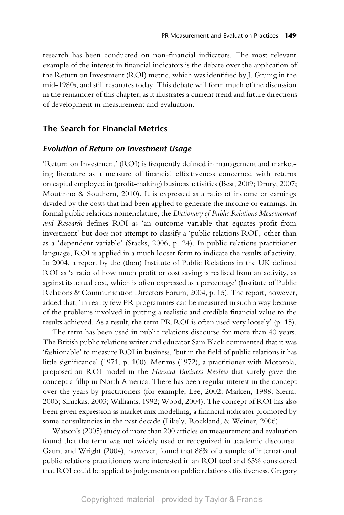research has been conducted on non-financial indicators. The most relevant example of the interest in financial indicators is the debate over the application of the Return on Investment (ROI) metric, which was identified by J. Grunig in the mid-1980s, and still resonates today. This debate will form much of the discussion in the remainder of this chapter, as it illustrates a current trend and future directions of development in measurement and evaluation.

## **The Search for Financial Metrics**

#### *Evolution of Return on Investment Usage*

'Return on Investment' (ROI) is frequently defined in management and marketing literature as a measure of financial effectiveness concerned with returns on capital employed in (profit-making) business activities (Best, 2009; Drury, 2007; Moutinho & Southern, 2010). It is expressed as a ratio of income or earnings divided by the costs that had been applied to generate the income or earnings. In formal public relations nomenclature, the *Dictionary of Public Relations Measurement and Research* defines ROI as 'an outcome variable that equates profit from investment' but does not attempt to classify a 'public relations ROI', other than as a 'dependent variable' (Stacks, 2006, p. 24). In public relations practitioner language, ROI is applied in a much looser form to indicate the results of activity. In 2004, a report by the (then) Institute of Public Relations in the UK defined ROI as 'a ratio of how much profit or cost saving is realised from an activity, as against its actual cost, which is often expressed as a percentage' (Institute of Public Relations & Communication Directors Forum, 2004, p. 15). The report, however, added that, 'in reality few PR programmes can be measured in such a way because of the problems involved in putting a realistic and credible financial value to the results achieved. As a result, the term PR ROI is often used very loosely' (p. 15).

The term has been used in public relations discourse for more than 40 years. The British public relations writer and educator Sam Black commented that it was 'fashionable' to measure ROI in business, 'but in the field of public relations it has little significance' (1971, p. 100). Merims (1972), a practitioner with Motorola, proposed an ROI model in the *Harvard Business Review* that surely gave the concept a fillip in North America. There has been regular interest in the concept over the years by practitioners (for example, Lee, 2002; Marken, 1988; Sierra, 2003; Sinickas, 2003; Williams, 1992; Wood, 2004). The concept of ROI has also been given expression as market mix modelling, a financial indicator promoted by some consultancies in the past decade (Likely, Rockland, & Weiner, 2006).

Watson's (2005) study of more than 200 articles on measurement and evaluation found that the term was not widely used or recognized in academic discourse. Gaunt and Wright (2004), however, found that 88% of a sample of international public relations practitioners were interested in an ROI tool and 65% considered that ROI could be applied to judgements on public relations effectiveness. Gregory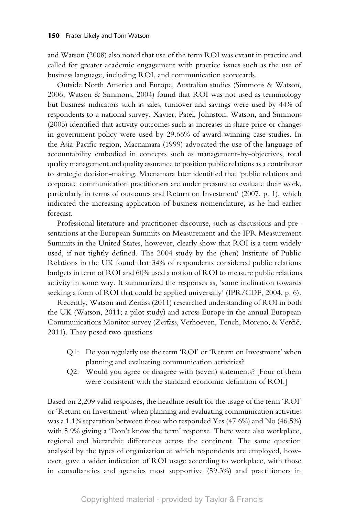and Watson (2008) also noted that use of the term ROI was extant in practice and called for greater academic engagement with practice issues such as the use of business language, including ROI, and communication scorecards.

Outside North America and Europe, Australian studies (Simmons & Watson, 2006; Watson & Simmons, 2004) found that ROI was not used as terminology but business indicators such as sales, turnover and savings were used by 44% of respondents to a national survey. Xavier, Patel, Johnston, Watson, and Simmons (2005) identified that activity outcomes such as increases in share price or changes in government policy were used by 29.66% of award-winning case studies. In the Asia-Pacific region, Macnamara (1999) advocated the use of the language of accountability embodied in concepts such as management-by-objectives, total quality management and quality assurance to position public relations as a contributor to strategic decision-making. Macnamara later identified that 'public relations and corporate communication practitioners are under pressure to evaluate their work, particularly in terms of outcomes and Return on Investment' (2007, p. 1), which indicated the increasing application of business nomenclature, as he had earlier forecast.

Professional literature and practitioner discourse, such as discussions and presentations at the European Summits on Measurement and the IPR Measurement Summits in the United States, however, clearly show that ROI is a term widely used, if not tightly defined. The 2004 study by the (then) Institute of Public Relations in the UK found that 34% of respondents considered public relations budgets in term of ROI and 60% used a notion of ROI to measure public relations activity in some way. It summarized the responses as, 'some inclination towards seeking a form of ROI that could be applied universally' (IPR/CDF, 2004, p. 6).

Recently, Watson and Zerfass (2011) researched understanding of ROI in both the UK (Watson, 2011; a pilot study) and across Europe in the annual European Communications Monitor survey (Zerfass, Verhoeven, Tench, Moreno, & Verčič, 2011). They posed two questions

- Q1: Do you regularly use the term 'ROI' or 'Return on Investment' when planning and evaluating communication activities?
- Q2: Would you agree or disagree with (seven) statements? [Four of them were consistent with the standard economic definition of ROI.]

Based on 2,209 valid responses, the headline result for the usage of the term 'ROI' or 'Return on Investment' when planning and evaluating communication activities was a 1.1% separation between those who responded Yes (47.6%) and No (46.5%) with 5.9% giving a 'Don't know the term' response. There were also workplace, regional and hierarchic differences across the continent. The same question analysed by the types of organization at which respondents are employed, however, gave a wider indication of ROI usage according to workplace, with those in consultancies and agencies most supportive (59.3%) and practitioners in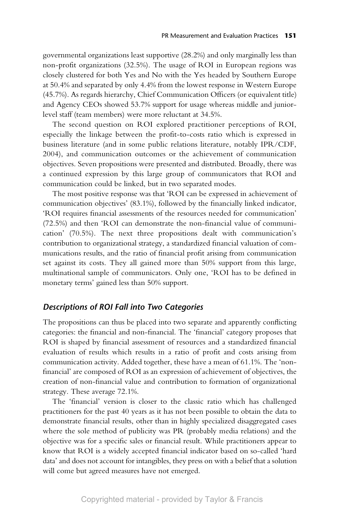governmental organizations least supportive (28.2%) and only marginally less than non-profit organizations (32.5%). The usage of ROI in European regions was closely clustered for both Yes and No with the Yes headed by Southern Europe at 50.4% and separated by only 4.4% from the lowest response in Western Europe (45.7%). As regards hierarchy, Chief Communication Officers (or equivalent title) and Agency CEOs showed 53.7% support for usage whereas middle and juniorlevel staff (team members) were more reluctant at 34.5%.

The second question on ROI explored practitioner perceptions of ROI, especially the linkage between the profit-to-costs ratio which is expressed in business literature (and in some public relations literature, notably IPR/CDF, 2004), and communication outcomes or the achievement of communication objectives. Seven propositions were presented and distributed. Broadly, there was a continued expression by this large group of communicators that ROI and communication could be linked, but in two separated modes.

The most positive response was that 'ROI can be expressed in achievement of communication objectives' (83.1%), followed by the financially linked indicator, 'ROI requires financial assessments of the resources needed for communication' (72.5%) and then 'ROI can demonstrate the non-financial value of communication' (70.5%). The next three propositions dealt with communication's contribution to organizational strategy, a standardized financial valuation of communications results, and the ratio of financial profit arising from communication set against its costs. They all gained more than 50% support from this large, multinational sample of communicators. Only one, 'ROI has to be defined in monetary terms' gained less than 50% support.

## *Descriptions of ROI Fall into Two Categories*

The propositions can thus be placed into two separate and apparently conflicting categories: the financial and non-financial. The 'financial' category proposes that ROI is shaped by financial assessment of resources and a standardized financial evaluation of results which results in a ratio of profit and costs arising from communication activity. Added together, these have a mean of 61.1%. The 'nonfinancial' are composed of ROI as an expression of achievement of objectives, the creation of non-financial value and contribution to formation of organizational strategy. These average 72.1%.

The 'financial' version is closer to the classic ratio which has challenged practitioners for the past 40 years as it has not been possible to obtain the data to demonstrate financial results, other than in highly specialized disaggregated cases where the sole method of publicity was PR (probably media relations) and the objective was for a specific sales or financial result. While practitioners appear to know that ROI is a widely accepted financial indicator based on so-called 'hard data' and does not account for intangibles, they press on with a belief that a solution will come but agreed measures have not emerged.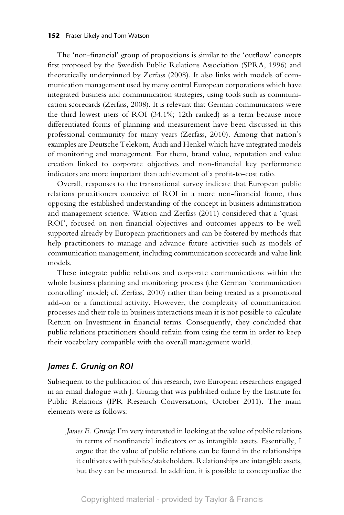#### **152** Fraser Likely and Tom Watson

The 'non-financial' group of propositions is similar to the 'outflow' concepts first proposed by the Swedish Public Relations Association (SPRA, 1996) and theoretically underpinned by Zerfass (2008). It also links with models of communication management used by many central European corporations which have integrated business and communication strategies, using tools such as communication scorecards (Zerfass, 2008). It is relevant that German communicators were the third lowest users of ROI (34.1%; 12th ranked) as a term because more differentiated forms of planning and measurement have been discussed in this professional community for many years (Zerfass, 2010). Among that nation's examples are Deutsche Telekom, Audi and Henkel which have integrated models of monitoring and management. For them, brand value, reputation and value creation linked to corporate objectives and non-financial key performance indicators are more important than achievement of a profit-to-cost ratio.

Overall, responses to the transnational survey indicate that European public relations practitioners conceive of ROI in a more non-financial frame, thus opposing the established understanding of the concept in business administration and management science. Watson and Zerfass (2011) considered that a 'quasi-ROI', focused on non-financial objectives and outcomes appears to be well supported already by European practitioners and can be fostered by methods that help practitioners to manage and advance future activities such as models of communication management, including communication scorecards and value link models.

These integrate public relations and corporate communications within the whole business planning and monitoring process (the German 'communication controlling' model; cf. Zerfass, 2010) rather than being treated as a promotional add-on or a functional activity. However, the complexity of communication processes and their role in business interactions mean it is not possible to calculate Return on Investment in financial terms. Consequently, they concluded that public relations practitioners should refrain from using the term in order to keep their vocabulary compatible with the overall management world.

## *James E. Grunig on ROI*

Subsequent to the publication of this research, two European researchers engaged in an email dialogue with J. Grunig that was published online by the Institute for Public Relations (IPR Research Conversations, October 2011). The main elements were as follows:

*James E. Grunig*: I'm very interested in looking at the value of public relations in terms of nonfinancial indicators or as intangible assets. Essentially, I argue that the value of public relations can be found in the relationships it cultivates with publics/stakeholders. Relationships are intangible assets, but they can be measured. In addition, it is possible to conceptualize the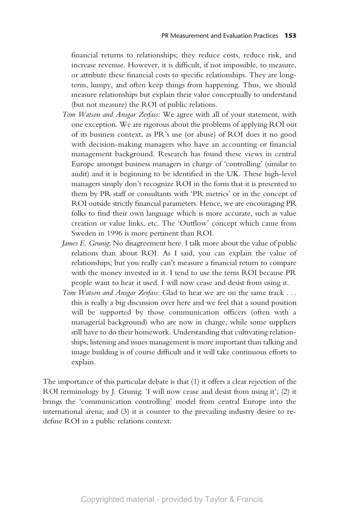financial returns to relationships; they reduce costs, reduce risk, and increase revenue. However, it is difficult, if not impossible, to measure, or attribute these financial costs to specific relationships. They are longterm, lumpy, and often keep things from happening. Thus, we should measure relationships but explain their value conceptually to understand (but not measure) the ROI of public relations.

- *Tom Watson and Ansgar Zerfass*: We agree with all of your statement, with one exception. We are rigorous about the problems of applying ROI out of its business context, as PR's use (or abuse) of ROI does it no good with decision-making managers who have an accounting or financial management background. Research has found these views in central Europe amongst business managers in charge of 'controlling' (similar to audit) and it is beginning to be identified in the UK. These high-level managers simply don't recognize ROI in the form that it is presented to them by PR staff or consultants with 'PR metrics' or in the concept of ROI outside strictly financial parameters. Hence, we are encouraging PR folks to find their own language which is more accurate, such as value creation or value links, etc. The 'Outflow' concept which came from Sweden in 1996 is more pertinent than ROI.
- *James E. Grunig*: No disagreement here. I talk more about the value of public relations than about ROI. As I said, you can explain the value of relationships; but you really can't measure a financial return to compare with the money invested in it. I tend to use the term ROI because PR people want to hear it used. I will now cease and desist from using it.
- *Tom Watson and Ansgar Zerfass*: Glad to hear we are on the same track . . . this is really a big discussion over here and we feel that a sound position will be supported by those communication officers (often with a managerial background) who are now in charge, while some suppliers still have to do their homework. Understanding that cultivating relationships, listening and issues management is more important than talking and image building is of course difficult and it will take continuous efforts to explain.

The importance of this particular debate is that (1) it offers a clear rejection of the ROI terminology by J. Grunig: 'I will now cease and desist from using it'; (2) it brings the 'communication controlling' model from central Europe into the international arena; and (3) it is counter to the prevailing industry desire to redefine ROI in a public relations context.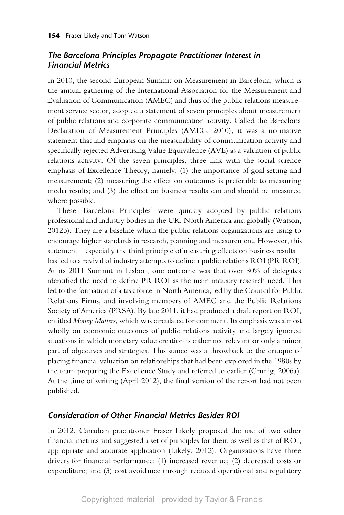# *The Barcelona Principles Propagate Practitioner Interest in Financial Metrics*

In 2010, the second European Summit on Measurement in Barcelona, which is the annual gathering of the International Association for the Measurement and Evaluation of Communication (AMEC) and thus of the public relations measurement service sector, adopted a statement of seven principles about measurement of public relations and corporate communication activity. Called the Barcelona Declaration of Measurement Principles (AMEC, 2010), it was a normative statement that laid emphasis on the measurability of communication activity and specifically rejected Advertising Value Equivalence (AVE) as a valuation of public relations activity. Of the seven principles, three link with the social science emphasis of Excellence Theory, namely: (1) the importance of goal setting and measurement; (2) measuring the effect on outcomes is preferable to measuring media results; and (3) the effect on business results can and should be measured where possible.

These 'Barcelona Principles' were quickly adopted by public relations professional and industry bodies in the UK, North America and globally (Watson, 2012b). They are a baseline which the public relations organizations are using to encourage higher standards in research, planning and measurement. However, this statement – especially the third principle of measuring effects on business results – has led to a revival of industry attempts to define a public relations ROI (PR ROI). At its 2011 Summit in Lisbon, one outcome was that over 80% of delegates identified the need to define PR ROI as the main industry research need. This led to the formation of a task force in North America, led by the Council for Public Relations Firms, and involving members of AMEC and the Public Relations Society of America (PRSA). By late 2011, it had produced a draft report on ROI, entitled *Money Matters*, which was circulated for comment. Its emphasis was almost wholly on economic outcomes of public relations activity and largely ignored situations in which monetary value creation is either not relevant or only a minor part of objectives and strategies. This stance was a throwback to the critique of placing financial valuation on relationships that had been explored in the 1980s by the team preparing the Excellence Study and referred to earlier (Grunig, 2006a). At the time of writing (April 2012), the final version of the report had not been published.

## *Consideration of Other Financial Metrics Besides ROI*

In 2012, Canadian practitioner Fraser Likely proposed the use of two other financial metrics and suggested a set of principles for their, as well as that of ROI, appropriate and accurate application (Likely, 2012). Organizations have three drivers for financial performance: (1) increased revenue; (2) decreased costs or expenditure; and (3) cost avoidance through reduced operational and regulatory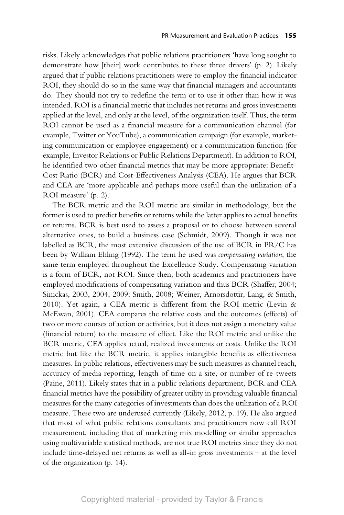risks. Likely acknowledges that public relations practitioners 'have long sought to demonstrate how [their] work contributes to these three drivers' (p. 2). Likely argued that if public relations practitioners were to employ the financial indicator ROI, they should do so in the same way that financial managers and accountants do. They should not try to redefine the term or to use it other than how it was intended. ROI is a financial metric that includes net returns and gross investments applied at the level, and only at the level, of the organization itself. Thus, the term ROI cannot be used as a financial measure for a communication channel (for example, Twitter or YouTube), a communication campaign (for example, marketing communication or employee engagement) or a communication function (for example, Investor Relations or Public Relations Department). In addition to ROI, he identified two other financial metrics that may be more appropriate: Benefit-Cost Ratio (BCR) and Cost-Effectiveness Analysis (CEA). He argues that BCR and CEA are 'more applicable and perhaps more useful than the utilization of a ROI measure' (p. 2).

The BCR metric and the ROI metric are similar in methodology, but the former is used to predict benefits or returns while the latter applies to actual benefits or returns. BCR is best used to assess a proposal or to choose between several alternative ones, to build a business case (Schmidt, 2009). Though it was not labelled as BCR, the most extensive discussion of the use of BCR in PR/C has been by William Ehling (1992). The term he used was *compensating variation*, the same term employed throughout the Excellence Study. Compensating variation is a form of BCR, not ROI. Since then, both academics and practitioners have employed modifications of compensating variation and thus BCR (Shaffer, 2004; Sinickas, 2003, 2004, 2009; Smith, 2008; Weiner, Arnorsdottir, Lang, & Smith, 2010). Yet again, a CEA metric is different from the ROI metric (Levin & McEwan, 2001). CEA compares the relative costs and the outcomes (effects) of two or more courses of action or activities, but it does not assign a monetary value (financial return) to the measure of effect. Like the ROI metric and unlike the BCR metric, CEA applies actual, realized investments or costs. Unlike the ROI metric but like the BCR metric, it applies intangible benefits as effectiveness measures. In public relations, effectiveness may be such measures as channel reach, accuracy of media reporting, length of time on a site, or number of re-tweets (Paine, 2011). Likely states that in a public relations department, BCR and CEA financial metrics have the possibility of greater utility in providing valuable financial measures for the many categories of investments than does the utilization of a ROI measure. These two are underused currently (Likely, 2012, p. 19). He also argued that most of what public relations consultants and practitioners now call ROI measurement, including that of marketing mix modelling or similar approaches using multivariable statistical methods, are not true ROI metrics since they do not include time-delayed net returns as well as all-in gross investments – at the level of the organization (p. 14).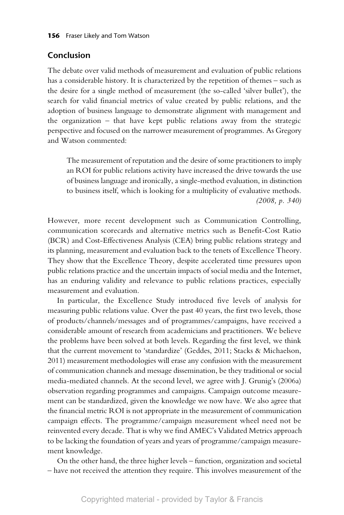## **Conclusion**

The debate over valid methods of measurement and evaluation of public relations has a considerable history. It is characterized by the repetition of themes – such as the desire for a single method of measurement (the so-called 'silver bullet'), the search for valid financial metrics of value created by public relations, and the adoption of business language to demonstrate alignment with management and the organization – that have kept public relations away from the strategic perspective and focused on the narrower measurement of programmes. As Gregory and Watson commented:

The measurement of reputation and the desire of some practitioners to imply an ROI for public relations activity have increased the drive towards the use of business language and ironically, a single-method evaluation, in distinction to business itself, which is looking for a multiplicity of evaluative methods. *(2008, p. 340)*

However, more recent development such as Communication Controlling, communication scorecards and alternative metrics such as Benefit-Cost Ratio (BCR) and Cost-Effectiveness Analysis (CEA) bring public relations strategy and its planning, measurement and evaluation back to the tenets of Excellence Theory. They show that the Excellence Theory, despite accelerated time pressures upon public relations practice and the uncertain impacts of social media and the Internet, has an enduring validity and relevance to public relations practices, especially measurement and evaluation.

In particular, the Excellence Study introduced five levels of analysis for measuring public relations value. Over the past 40 years, the first two levels, those of products/channels/messages and of programmes/campaigns, have received a considerable amount of research from academicians and practitioners. We believe the problems have been solved at both levels. Regarding the first level, we think that the current movement to 'standardize' (Geddes, 2011; Stacks & Michaelson, 2011) measurement methodologies will erase any confusion with the measurement of communication channels and message dissemination, be they traditional or social media-mediated channels. At the second level, we agree with J. Grunig's (2006a) observation regarding programmes and campaigns. Campaign outcome measurement can be standardized, given the knowledge we now have. We also agree that the financial metric ROI is not appropriate in the measurement of communication campaign effects. The programme/campaign measurement wheel need not be reinvented every decade. That is why we find AMEC's Validated Metrics approach to be lacking the foundation of years and years of programme/campaign measurement knowledge.

On the other hand, the three higher levels – function, organization and societal – have not received the attention they require. This involves measurement of the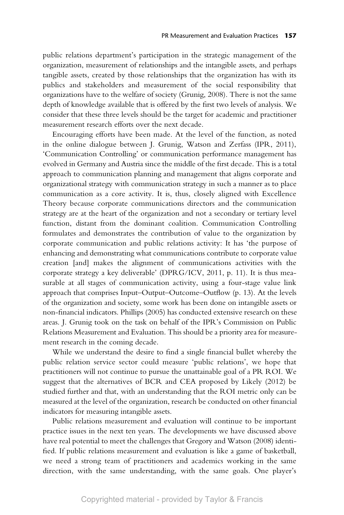public relations department's participation in the strategic management of the organization, measurement of relationships and the intangible assets, and perhaps tangible assets, created by those relationships that the organization has with its publics and stakeholders and measurement of the social responsibility that organizations have to the welfare of society (Grunig, 2008). There is not the same depth of knowledge available that is offered by the first two levels of analysis. We consider that these three levels should be the target for academic and practitioner measurement research efforts over the next decade.

Encouraging efforts have been made. At the level of the function, as noted in the online dialogue between J. Grunig, Watson and Zerfass (IPR, 2011), 'Communication Controlling' or communication performance management has evolved in Germany and Austria since the middle of the first decade. This is a total approach to communication planning and management that aligns corporate and organizational strategy with communication strategy in such a manner as to place communication as a core activity. It is, thus, closely aligned with Excellence Theory because corporate communications directors and the communication strategy are at the heart of the organization and not a secondary or tertiary level function, distant from the dominant coalition. Communication Controlling formulates and demonstrates the contribution of value to the organization by corporate communication and public relations activity: It has 'the purpose of enhancing and demonstrating what communications contribute to corporate value creation [and] makes the alignment of communications activities with the corporate strategy a key deliverable' (DPRG/ICV, 2011, p. 11). It is thus measurable at all stages of communication activity, using a four-stage value link approach that comprises Input–Output–Outcome–Outflow (p. 13). At the levels of the organization and society, some work has been done on intangible assets or non-financial indicators. Phillips (2005) has conducted extensive research on these areas. J. Grunig took on the task on behalf of the IPR's Commission on Public Relations Measurement and Evaluation. This should be a priority area for measurement research in the coming decade.

While we understand the desire to find a single financial bullet whereby the public relation service sector could measure 'public relations', we hope that practitioners will not continue to pursue the unattainable goal of a PR ROI. We suggest that the alternatives of BCR and CEA proposed by Likely (2012) be studied further and that, with an understanding that the ROI metric only can be measured at the level of the organization, research be conducted on other financial indicators for measuring intangible assets.

Public relations measurement and evaluation will continue to be important practice issues in the next ten years. The developments we have discussed above have real potential to meet the challenges that Gregory and Watson (2008) identified. If public relations measurement and evaluation is like a game of basketball, we need a strong team of practitioners and academics working in the same direction, with the same understanding, with the same goals. One player's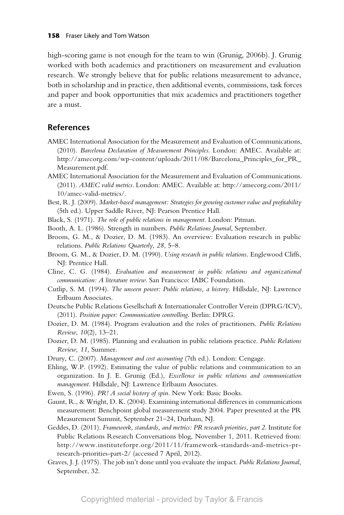high-scoring game is not enough for the team to win (Grunig, 2006b). J. Grunig worked with both academics and practitioners on measurement and evaluation research. We strongly believe that for public relations measurement to advance, both in scholarship and in practice, then additional events, commissions, task forces and paper and book opportunities that mix academics and practitioners together are a must.

## **References**

- AMEC International Association for the Measurement and Evaluation of Communications, (2010). *Barcelona Declaration of Measurement Principles*. London: AMEC. Available at: http://amecorg.com/wp-content/uploads/2011/08/Barcelona\_Principles\_for\_PR\_ Measurement.pdf.
- AMEC International Association for the Measurement and Evaluation of Communications. (2011). *AMEC valid metrics*. London: AMEC. Available at: http://amecorg.com/2011/ 10/amec-valid-metrics/.
- Best, R. J. (2009). *Market-based management: Strategies for growing customer value and profitability* (5th ed.). Upper Saddle River, NJ: Pearson Prentice Hall.
- Black, S. (1971). *The role of public relations in management*. London: Pitman.
- Booth, A. L. (1986). Strength in numbers. *Public Relations Journal*, September.
- Broom, G. M., & Dozier, D. M. (1983). An overview: Evaluation research in public relations. *Public Relations Quarterly*, *28,* 5–8.
- Broom, G. M., & Dozier, D. M. (1990). *Using research in public relations*. Englewood Cliffs, NJ: Prentice Hall.
- Cline, C. G. (1984). *Evaluation and measurement in public relations and organizational communication: A literature review*. San Francisco: IABC Foundation.
- Cutlip, S. M. (1994). *The unseen power: Public relations, a history*. Hillsdale, NJ: Lawrence Erlbaum Associates.
- Deutsche Public Relations Gesellschaft & Internationaler Controller Verein (DPRG/ICV), (2011). *Position paper: Communication controlling*. Berlin: DPRG.
- Dozier, D. M. (1984). Program evaluation and the roles of practitioners. *Public Relations Review*, *10*(2)*,* 13–21.
- Dozier, D. M. (1985). Planning and evaluation in public relations practice. *Public Relations Review, 11,* Summer.
- Drury, C. (2007). *Management and cost accounting* (7th ed.). London: Cengage.
- Ehling, W.P. (1992). Estimating the value of public relations and communication to an organization. In J. E. Grunig (Ed.), *Excellence in public relations and communication management.* Hillsdale, NJ: Lawrence Erlbaum Associates.
- Ewen, S. (1996). *PR! A social history of spin*. New York: Basic Books.
- Gaunt, R., & Wright, D. K. (2004). Examining international differences in communications measurement: Benchpoint global measurement study 2004. Paper presented at the PR Measurement Summit, September 21–24, Durham, NJ.
- Geddes, D. (2011). *Framework, standards, and metrics: PR research priorities, part 2*. Institute for Public Relations Research Conversations blog, November 1, 2011. Retrieved from: http://www.instituteforpr.org/2011/11/framework-standards-and-metrics-prresearch-priorities-part-2/ (accessed 7 April, 2012).
- Graves, J. J. (1975). The job isn't done until you evaluate the impact. *Public Relations Journal,* September, 32.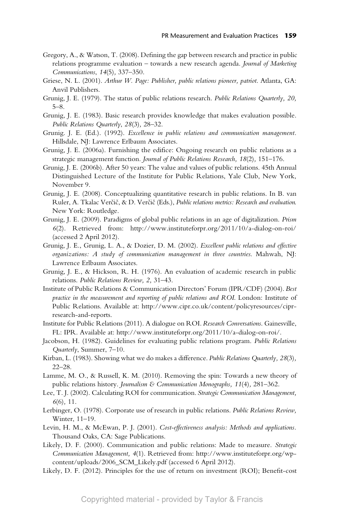- Gregory, A., & Watson, T. (2008). Defining the gap between research and practice in public relations programme evaluation – towards a new research agenda. *Journal of Marketing Communications*, *14*(5)*,* 337–350.
- Griese, N. L. (2001). *Arthur W. Page: Publisher, public relations pioneer, patriot*. Atlanta, GA: Anvil Publishers.
- Grunig, J. E. (1979). The status of public relations research. *Public Relations Quarterly, 20,* 5–8.
- Grunig, J. E. (1983). Basic research provides knowledge that makes evaluation possible. *Public Relations Quarterly*, *28*(3)*,* 28–32.
- Grunig. J. E. (Ed.). (1992). *Excellence in public relations and communication management.* Hillsdale, NJ: Lawrence Erlbaum Associates.
- Grunig, J. E. (2006a). Furnishing the edifice: Ongoing research on public relations as a strategic management function. *Journal of Public Relations Research, 18*(2)*,* 151–176.
- Grunig, J. E. (2006b). After 50 years: The value and values of public relations. 45th Annual Distinguished Lecture of the Institute for Public Relations, Yale Club, New York, November 9.
- Grunig, J. E. (2008). Conceptualizing quantitative research in public relations. In B. van Ruler, A. Tkalac Verčič, & D. Verčič (Eds.), *Public relations metrics: Research and evaluation.* New York: Routledge.
- Grunig, J. E. (2009). Paradigms of global public relations in an age of digitalization. *Prism 6*(2). Retrieved from: http://www.instituteforpr.org/2011/10/a-dialog-on-roi/ (accessed 2 April 2012).
- Grunig, J. E., Grunig, L. A., & Dozier, D. M. (2002). *Excellent public relations and effective organizations: A study of communication management in three countries*. Mahwah, NJ: Lawrence Erlbaum Associates.
- Grunig, J. E., & Hickson, R. H. (1976). An evaluation of academic research in public relations. *Public Relations Review, 2,* 31–43.
- Institute of Public Relations & Communication Directors' Forum (IPR/CDF) (2004). *Best practice in the measurement and reporting of public relations and ROI*. London: Institute of Public Relations. Available at: http://www.cipr.co.uk/content/policyresources/ciprresearch-and-reports.
- Institute for Public Relations (2011). A dialogue on ROI. *Research Conversations*. Gainesville, FL: IPR. Available at: http://www.instituteforpr.org/2011/10/a-dialog-on-roi/.
- Jacobson, H. (1982). Guidelines for evaluating public relations program. *Public Relations Quarterly*, Summer, 7–10.
- Kirban, L. (1983). Showing what we do makes a difference. *Public Relations Quarterly, 28*(3)*,* 22–28.
- Lamme, M. O., & Russell, K. M. (2010). Removing the spin: Towards a new theory of public relations history. *Journalism & Communication Monographs, 11*(4)*,* 281–362.
- Lee, T. J. (2002). Calculating ROI for communication. *Strategic Communication Management, 6*(6)*,* 11.
- Lerbinger, O. (1978). Corporate use of research in public relations. *Public Relations Review,* Winter, 11–19.
- Levin, H. M., & McEwan, P. J. (2001). *Cost-effectiveness analysis: Methods and applications.* Thousand Oaks, CA: Sage Publications.
- Likely, D. F. (2000). Communication and public relations: Made to measure. *Strategic Communication Management, 4*(1). Retrieved from: http://www.instituteforpr.org/wpcontent/uploads/2006\_SCM\_Likely.pdf (accessed 6 April 2012).
- Likely, D. F. (2012). Principles for the use of return on investment (ROI); Benefit-cost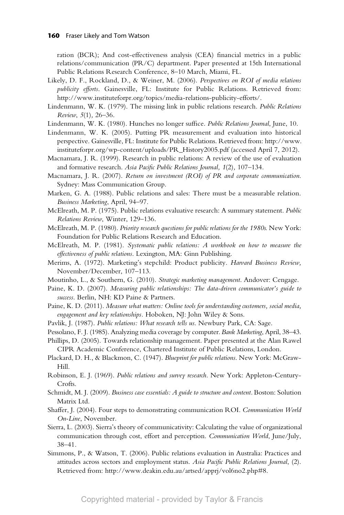ration (BCR); And cost-effectiveness analysis (CEA) financial metrics in a public relations/communication (PR/C) department. Paper presented at 15th International Public Relations Research Conference, 8–10 March, Miami, FL.

- Likely, D. F., Rockland, D., & Weiner, M. (2006). *Perspectives on ROI of media relations publicity efforts*. Gainesville, FL: Institute for Public Relations. Retrieved from: http://www.instituteforpr.org/topics/media-relations-publicity-efforts/.
- Lindenmann, W. K. (1979). The missing link in public relations research. *Public Relations Review*, *5*(1)*,* 26–36.
- Lindenmann, W. K. (1980). Hunches no longer suffice. *Public Relations Journal*, June, 10.
- Lindenmann, W. K. (2005). Putting PR measurement and evaluation into historical perspective. Gainesville, FL: Institute for Public Relations. Retrieved from: http://www. instituteforpr.org/wp-content/uploads/PR\_History2005.pdf (accessed April 7, 2012).
- Macnamara, J. R. (1999). Research in public relations: A review of the use of evaluation and formative research. *Asia Pacific Public Relations Journal, 1*(2)*,* 107–134.
- Macnamara, J. R. (2007). *Return on investment (ROI) of PR and corporate communication*. Sydney: Mass Communication Group.
- Marken, G. A. (1988). Public relations and sales: There must be a measurable relation. *Business Marketing*, April, 94–97.
- McElreath, M. P. (1975). Public relations evaluative research: A summary statement. *Public Relations Review*, Winter, 129–136.
- McElreath, M. P. (1980). *Priority research questions for public relations for the 1980s*. New York: Foundation for Public Relations Research and Education.
- McElreath, M. P. (1981). *Systematic public relations: A workbook on how to measure the effectiveness of public relations*. Lexington, MA: Ginn Publishing.
- Merims, A. (1972). Marketing's stepchild: Product publicity. *Harvard Business Review,* November/December, 107–113.
- Moutinho, L., & Southern, G. (2010). *Strategic marketing management*. Andover: Cengage.
- Paine, K. D. (2007). *Measuring public relationships: The data-driven communicator's guide to success*. Berlin, NH: KD Paine & Partners.
- Paine, K. D. (2011). *Measure what matters: Online tools for understanding customers, social media, engagement and key relationships.* Hoboken, NJ: John Wiley & Sons.
- Pavlik, J. (1987). *Public relations: What research tells us*. Newbury Park, CA: Sage.
- Pessolano, F. J. (1985). Analyzing media coverage by computer. *Bank Marketing*, April, 38–43.
- Phillips, D. (2005). Towards relationship management. Paper presented at the Alan Rawel CIPR Academic Conference, Chartered Institute of Public Relations, London.
- Plackard, D. H., & Blackmon, C. (1947). *Blueprint for public relations*. New York: McGraw-Hill.
- Robinson, E. J. (1969). *Public relations and survey research*. New York: Appleton-Century-Crofts.
- Schmidt, M. J. (2009). *Business case essentials: A quide to structure and content*. Boston: Solution Matrix Ltd.
- Shaffer, J. (2004). Four steps to demonstrating communication ROI. *Communication World On-Line*, November.
- Sierra, L. (2003). Sierra's theory of communicativity: Calculating the value of organizational communication through cost, effort and perception. *Communication World*, June/July, 38–41*.*
- Simmons, P., & Watson, T. (2006). Public relations evaluation in Australia: Practices and attitudes across sectors and employment status. *Asia Pacific Public Relations Journal*, (2). Retrieved from: http://www.deakin.edu.au/artsed/apprj/vol6no2.php#8.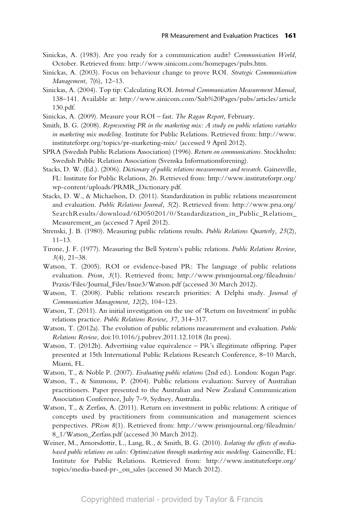- Sinickas, A. (1983). Are you ready for a communication audit? *Communication World*, October. Retrieved from: http://www.sinicom.com/homepages/pubs.htm.
- Sinickas, A. (2003). Focus on behaviour change to prove ROI*. Strategic Communication Management, 7*(6)*,* 12–13.
- Sinickas, A. (2004). Top tip: Calculating ROI. *Internal Communication Measurement Manual,* 138–141. Available at: http://www.sinicom.com/Sub%20Pages/pubs/articles/article 130.pdf.
- Sinickas, A. (2009). Measure your ROI fast. *The Ragan Report,* February.
- Smith, B. G. (2008). *Representing PR in the marketing mix: A study on public relations variables in marketing mix modeling.* Institute for Public Relations. Retrieved from: http://www. instituteforpr.org/topics/pr-marketing-mix/ (accessed 9 April 2012).
- SPRA (Swedish Public Relations Association) (1996). *Return on communications.* Stockholm: Swedish Public Relation Association (Svenska Informationsforening).
- Stacks, D. W. (Ed.). (2006). *Dictionary of public relations measurement and research*. Gainesville, FL: Institute for Public Relations, 26. Retrieved from: http://www.instituteforpr.org/ wp-content/uploads/PRMR\_Dictionary.pdf.
- Stacks, D. W., & Michaelson, D. (2011). Standardization in public relations measurement and evaluation. *Public Relations Journal, 5*(2). Retrieved from: http://www.prsa.org/ SearchResults/download/6D050201/0/Standardization\_in\_Public\_Relations\_ Measurement\_an (accessed 7 April 2012).
- Strenski, J. B. (1980). Measuring public relations results. *Public Relations Quarterly, 25*(2)*,*  $11-13.$
- Tirone, J. F. (1977). Measuring the Bell System's public relations. *Public Relations Review, 3*(4)*,* 21–38.
- Watson, T. (2005). ROI or evidence-based PR: The language of public relations evaluation. *Prism, 3*(1). Retrieved from; http://www.prismjournal.org/fileadmin/ Praxis/Files/Journal\_Files/Issue3/Watson.pdf (accessed 30 March 2012).
- Watson, T. (2008). Public relations research priorities: A Delphi study. *Journal of Communication Management, 12*(2), 104–123.
- Watson, T. (2011). An initial investigation on the use of 'Return on Investment' in public relations practice. *Public Relations Review, 37,* 314–317.
- Watson, T. (2012a). The evolution of public relations measurement and evaluation. *Public Relations Review*, doi:10.1016/j.pubrev.2011.12.1018 (In press).
- Watson, T. (2012b). Advertising value equivalence PR's illegitimate offspring. Paper presented at 15th International Public Relations Research Conference, 8–10 March, Miami, FL.
- Watson, T., & Noble P. (2007). *Evaluating public relations* (2nd ed.). London: Kogan Page.
- Watson, T., & Simmons, P. (2004). Public relations evaluation: Survey of Australian practitioners. Paper presented to the Australian and New Zealand Communication Association Conference, July 7–9, Sydney, Australia.
- Watson, T., & Zerfass, A. (2011). Return on investment in public relations: A critique of concepts used by practitioners from communication and management sciences perspectives. *PRism 8*(1). Retrieved from: http://www.prismjournal.org/fileadmin/ 8\_1/Watson\_Zerfass.pdf (accessed 30 March 2012).
- Weiner, M., Arnorsdottir, L., Lang, R., & Smith, B. G. (2010). *Isolating the effects of media*based public relations on sales: Optimization through marketing mix modeling. Gainesville, FL: Institute for Public Relations. Retrieved from: http://www.instituteforpr.org/ topics/media-based-pr-\_on\_sales (accessed 30 March 2012).